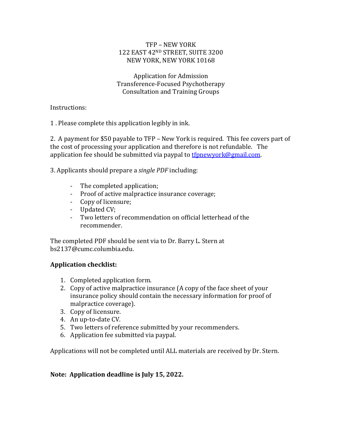### TFP - NEW YORK 122 EAST 42ND STREET, SUITE 3200 NEW YORK, NEW YORK 10168

Application for Admission Transference-Focused Psychotherapy Consultation and Training Groups

Instructions: 

1. Please complete this application legibly in ink.

2. A payment for \$50 payable to TFP – New York is required. This fee covers part of the cost of processing your application and therefore is not refundable. The application fee should be submitted via paypal to **the unitary or key mail.com.** 

3. Applicants should prepare a *single PDF* including:

- The completed application;
- Proof of active malpractice insurance coverage;
- Copy of licensure;
- Updated CV;
- Two letters of recommendation on official letterhead of the recommender.

The completed PDF should be sent via to Dr. Barry L. Stern at bs2137@cumc.columbia.edu.

# **Application checklist:**

- 1. Completed application form.
- 2. Copy of active malpractice insurance (A copy of the face sheet of your insurance policy should contain the necessary information for proof of malpractice coverage).
- 3. Copy of licensure.
- 4. An up-to-date CV.
- 5. Two letters of reference submitted by your recommenders.
- 6. Application fee submitted via paypal.

Applications will not be completed until ALL materials are received by Dr. Stern.

# Note: Application deadline is July 15, 2022.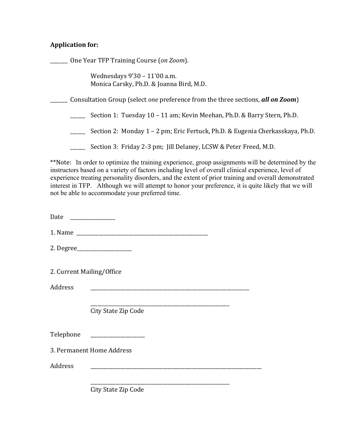### Application for:

\_\_\_\_\_\_\_ One Year TFP Training Course (*on Zoom*).

Wednesdays 9'30 - 11'00 a.m. Monica Carsky, Ph.D. & Joanna Bird, M.D.

**EXECT** Consultation Group (select *one* preference from the three sections, all on Zoom)

\_\_\_\_\_\_ Section 1: Tuesday 10 – 11 am; Kevin Meehan, Ph.D. & Barry Stern, Ph.D.

\_\_\_\_\_\_\_ Section 2: Monday 1 – 2 pm; Eric Fertuck, Ph.D. & Eugenia Cherkasskaya, Ph.D.

\_\_\_\_\_\_ Section 3: Friday 2-3 pm; Jill Delaney, LCSW & Peter Freed, M.D.

\*\*Note: In order to optimize the training experience, group assignments will be determined by the instructors based on a variety of factors including level of overall clinical experience, level of experience treating personality disorders, and the extent of prior training and overall demonstrated interest in TFP. Although we will attempt to honor your preference, it is quite likely that we will not be able to accommodate your preferred time.

Date \_\_\_\_\_\_\_\_\_\_\_\_\_\_\_\_\_\_

1. Name \_\_\_\_\_\_\_\_\_\_\_\_\_\_\_\_\_\_\_\_\_\_\_\_\_\_\_\_\_\_\_\_\_\_\_\_\_\_\_\_\_\_\_\_\_\_\_\_\_\_\_\_\_ 

2. Degree\_\_\_\_\_\_\_\_\_\_\_\_\_\_\_\_\_\_\_\_\_\_

2. Current Mailing/Office

Address **and a set of the set of the set of the set of the set of the set of the set of the set of the set of the set of the set of the set of the set of the set of the set of the set of the set of the set of the set of th** 

\_\_\_\_\_\_\_\_\_\_\_\_\_\_\_\_\_\_\_\_\_\_\_\_\_\_\_\_\_\_\_\_\_\_\_\_\_\_\_\_\_\_\_\_\_\_\_\_\_\_\_\_\_\_\_\_ City State Zip Code

Telephone

3. Permanent Home Address

Address \_\_\_\_\_\_\_\_\_\_\_\_\_\_\_\_\_\_\_\_\_\_\_\_\_\_\_\_\_\_\_\_\_\_\_\_\_\_\_\_\_\_\_\_\_\_\_\_\_\_\_\_\_\_\_\_\_\_\_\_\_\_\_\_\_\_\_\_\_

City State Zip Code

\_\_\_\_\_\_\_\_\_\_\_\_\_\_\_\_\_\_\_\_\_\_\_\_\_\_\_\_\_\_\_\_\_\_\_\_\_\_\_\_\_\_\_\_\_\_\_\_\_\_\_\_\_\_\_\_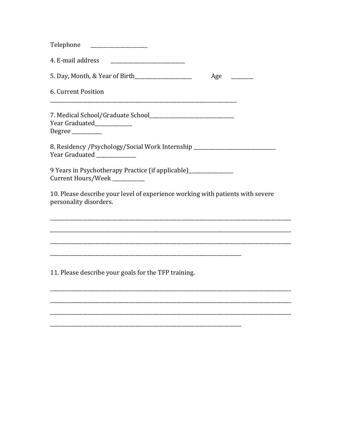| Telephone                                                                                                        |     |
|------------------------------------------------------------------------------------------------------------------|-----|
| 4. E-mail address                                                                                                |     |
|                                                                                                                  | Age |
| 6. Current Position                                                                                              |     |
| Year Graduated____________<br>$Degree$ <sub>_____________</sub>                                                  |     |
| 8. Residency / Psychology/Social Work Internship _______________________________<br>Year Graduated _____________ |     |
| 9 Years in Psychotherapy Practice (if applicable)_______________<br>Current Hours/Week _________                 |     |
| 10. Please describe your level of experience working with patients with severe<br>personality disorders.         |     |
|                                                                                                                  |     |
|                                                                                                                  |     |
| 11. Please describe your goals for the TFP training.                                                             |     |
|                                                                                                                  |     |
|                                                                                                                  |     |

 $\overline{\phantom{a}}$  $\overline{\phantom{a}}$ 

 $\overline{\phantom{a}}$ 

 $\overline{\phantom{a}}$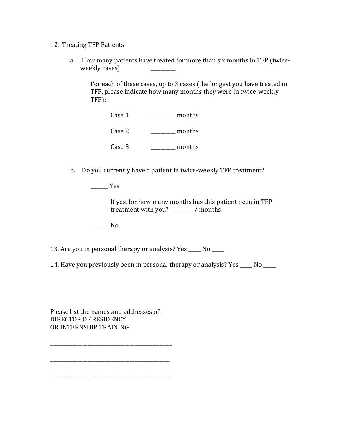#### 12. Treating TFP Patients

a. How many patients have treated for more than six months in TFP (twiceweekly cases)

For each of these cases, up to 3 cases (the longest you have treated in TFP, please indicate how many months they were in twice-weekly TFP):

 $\csc 1$  \_\_\_\_\_\_\_\_\_\_\_\_\_ months Case 2 \_\_\_\_\_\_\_\_\_\_ months

Case  $3 \qquad \qquad \qquad$  months

b. Do you currently have a patient in twice-weekly TFP treatment?

 $\frac{1}{\sqrt{1-\frac{1}{2}}\sqrt{1-\frac{1}{2}}\sqrt{1-\frac{1}{2}}\sqrt{1-\frac{1}{2}}\sqrt{1-\frac{1}{2}}\sqrt{1-\frac{1}{2}}\sqrt{1-\frac{1}{2}}\sqrt{1-\frac{1}{2}}\sqrt{1-\frac{1}{2}}\sqrt{1-\frac{1}{2}}\sqrt{1-\frac{1}{2}}\sqrt{1-\frac{1}{2}}\sqrt{1-\frac{1}{2}}\sqrt{1-\frac{1}{2}}\sqrt{1-\frac{1}{2}}\sqrt{1-\frac{1}{2}}\sqrt{1-\frac{1}{2}}\sqrt{1-\frac{1}{2}}\sqrt{1-\frac{1}{2}}\sqrt{1-\frac$ 

If yes, for how many months has this patient been in TFP treatment with you?  $\frac{1}{2}$  / months

\_\_\_\_\_\_\_ No

13. Are you in personal therapy or analysis? Yes \_\_\_\_ No \_\_\_\_

14. Have you previously been in personal therapy or analysis? Yes \_\_\_\_ No \_\_\_\_

Please list the names and addresses of: DIRECTOR OF RESIDENCY OR INTERNSHIP TRAINING

\_\_\_\_\_\_\_\_\_\_\_\_\_\_\_\_\_\_\_\_\_\_\_\_\_\_\_\_\_\_\_\_\_\_\_\_\_\_\_\_\_\_\_\_\_\_\_\_\_

\_\_\_\_\_\_\_\_\_\_\_\_\_\_\_\_\_\_\_\_\_\_\_\_\_\_\_\_\_\_\_\_\_\_\_\_\_\_\_\_\_\_\_\_\_\_\_\_

\_\_\_\_\_\_\_\_\_\_\_\_\_\_\_\_\_\_\_\_\_\_\_\_\_\_\_\_\_\_\_\_\_\_\_\_\_\_\_\_\_\_\_\_\_\_\_\_\_